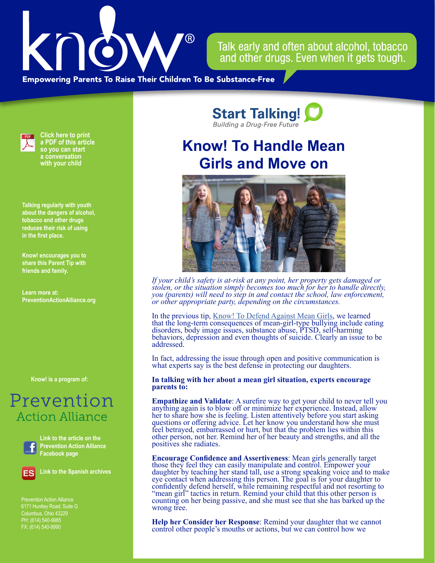

Talk early and often about alcohol, tobacco and other drugs. Even when it gets tough.

**Empowering Parents To Raise Their Children To Be Substance-Free** 



**Click here to print a PDF of this article so you can start a conversation with your child**

**Talking regularly with youth about the dangers of alcohol, tobacco and other drugs reduces their risk of using in the first place.**

**Know! encourages you to share this Parent Tip with friends and family.**

**Learn more at: PreventionActionAlliance[.org](https://www.drugfreeactionalliance.org/)**

**Know! is a program of:**

## Prevention **Action Alliance**



**Link to the article on the Prevention Action Alliance Facebook page**



**Link to the Spanish archives**

Prevention Action Alliance 6171 Huntley Road, Suite G Columbus, Ohio 43229 PH: (614) 540-9985 FX: (614) 540-9990

**Start Talking!** 

## **Know! To Handle Mean Girls and Move on**



*If your child's safety is at-risk at any point, her property gets damaged or stolen, or the situation simply becomes too much for her to handle directly, you (parents) will need to step in and contact the school, law enforcement, or other appropriate party, depending on the circumstances.* 

In the previous tip, [Know! To Defend Against Mean Girls](https://preventionactionalliance.org/advocate/newsletters/know-to-defend-against-mean-girls-and-move-on), we learned that the long-term consequences of mean-girl-type bullying include eating disorders, body image issues, substance abuse, PTSD, self-harming behaviors, depression and even thoughts of suicide. Clearly an issue to be addressed.

In fact, addressing the issue through open and positive communication is what experts say is the best defense in protecting our daughters.

## **In talking with her about a mean girl situation, experts encourage parents to:**

**Empathize and Validate**: A surefire way to get your child to never tell you anything again is to blow off or minimize her experience. Instead, allow her to share how she is feeling. Listen attentively before you start asking questions or offering advice. Let her know you understand how she must feel betrayed, embarrassed or hurt, but that the problem lies within this other person, not her. Remind her of her beauty and strengths, and all the positives she radiates.

**Encourage Confidence and Assertiveness**: Mean girls generally target those they feel they can easily manipulate and control. Empower your daughter by teaching her stand tall, use a strong speaking voice and to make eye contact when addressing this person. The goal is for your daughter to confidently defend herself, while remaining respectful and not resorting to "mean girl" tactics in return. Remind your child that this other person is counting on her being passive, and she must see that she has barked up the wrong tree.

**Help her Consider her Response**: Remind your daughter that we cannot control other people's mouths or actions, but we can control how we